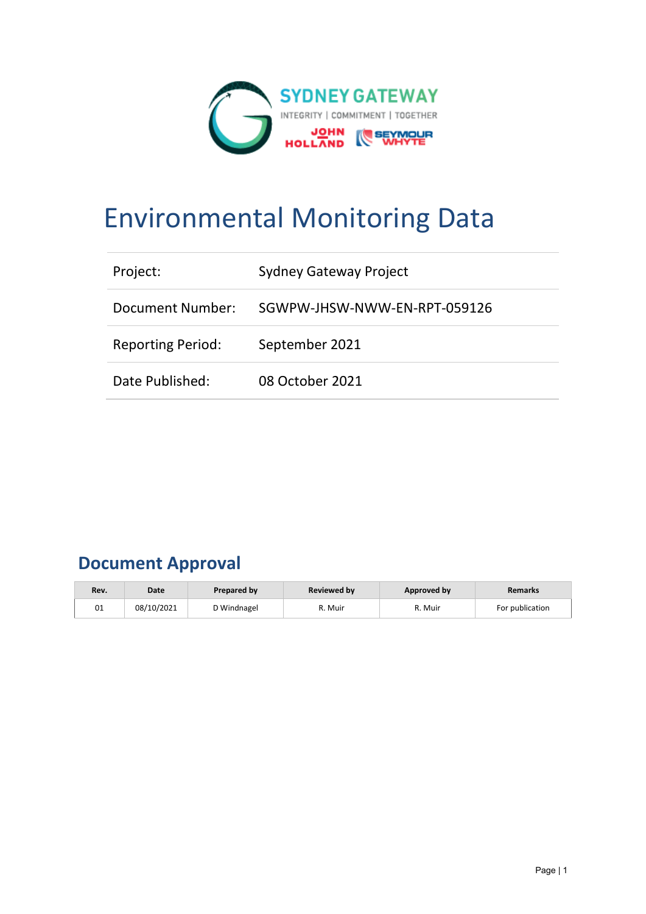

# Environmental Monitoring Data

| Project:                 | Sydney Gateway Project       |
|--------------------------|------------------------------|
| Document Number:         | SGWPW-JHSW-NWW-EN-RPT-059126 |
| <b>Reporting Period:</b> | September 2021               |
| Date Published:          | 08 October 2021              |

# **Document Approval**

| Rev. | Date       | Prepared by | <b>Reviewed by</b> | Approved by | <b>Remarks</b>  |
|------|------------|-------------|--------------------|-------------|-----------------|
| 01   | 08/10/2021 | D Windnagel | R. Muir            | R. Muir     | For publication |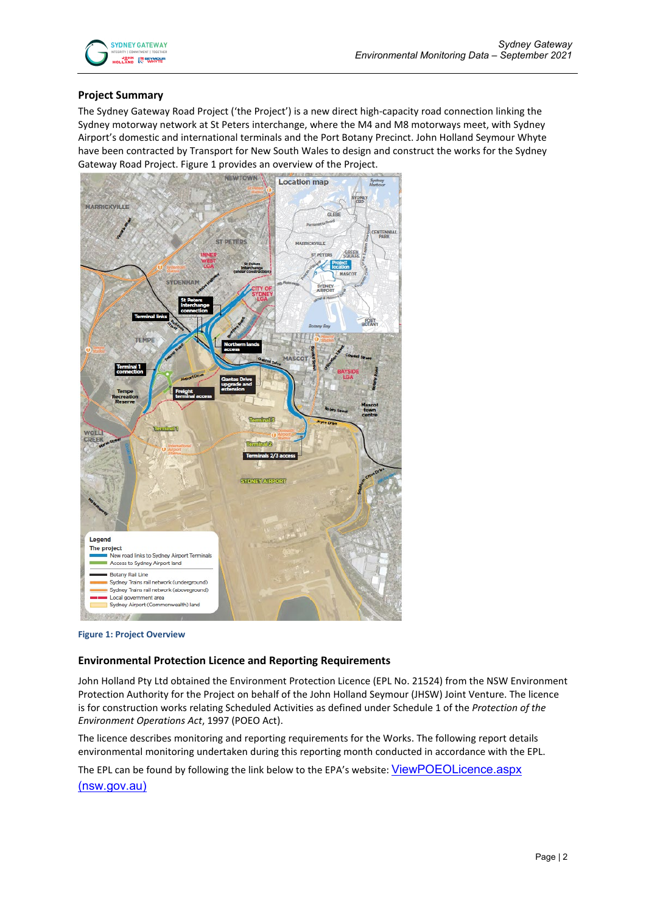

#### **Project Summary**

The Sydney Gateway Road Project ('the Project') is a new direct high-capacity road connection linking the Sydney motorway network at St Peters interchange, where the M4 and M8 motorways meet, with Sydney Airport's domestic and international terminals and the Port Botany Precinct. John Holland Seymour Whyte have been contracted by Transport for New South Wales to design and construct the works for the Sydney Gateway Road Project. Figure 1 provides an overview of the Project.



**Figure 1: Project Overview**

#### **Environmental Protection Licence and Reporting Requirements**

John Holland Pty Ltd obtained the Environment Protection Licence (EPL No. 21524) from the NSW Environment Protection Authority for the Project on behalf of the John Holland Seymour (JHSW) Joint Venture. The licence is for construction works relating Scheduled Activities as defined under Schedule 1 of the *Protection of the Environment Operations Act*, 1997 (POEO Act).

The licence describes monitoring and reporting requirements for the Works. The following report details environmental monitoring undertaken during this reporting month conducted in accordance with the EPL.

The EPL can be found by following the link below to the EPA's website: ViewPOEOLicence.aspx

[\(nsw.gov.au\)](https://app.epa.nsw.gov.au/prpoeoapp/ViewPOEOLicence.aspx?DOCID=223210&SYSUID=1&LICID=21524)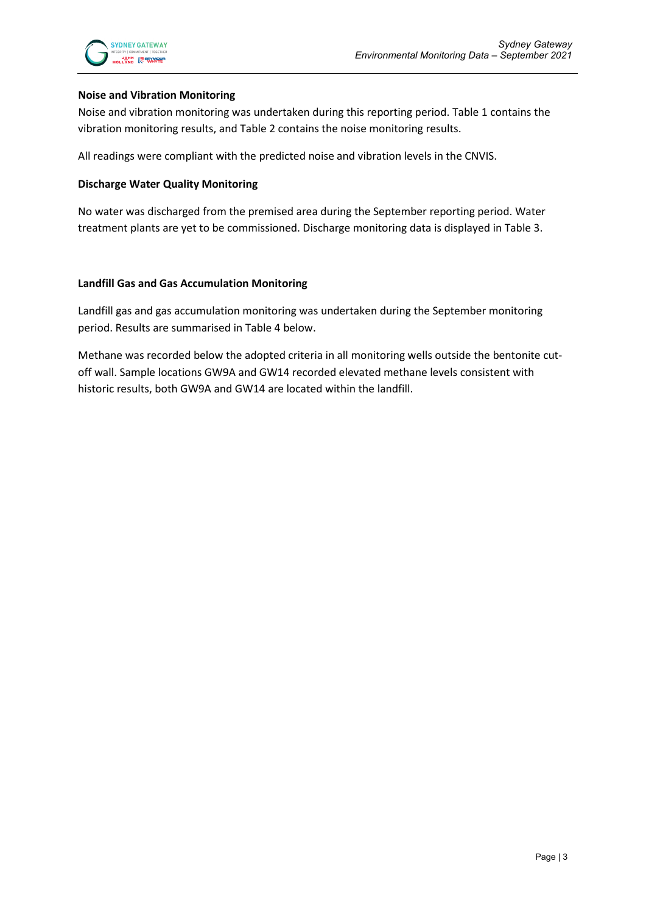#### **Noise and Vibration Monitoring**

Noise and vibration monitoring was undertaken during this reporting period. Table 1 contains the vibration monitoring results, and Table 2 contains the noise monitoring results.

All readings were compliant with the predicted noise and vibration levels in the CNVIS.

#### **Discharge Water Quality Monitoring**

No water was discharged from the premised area during the September reporting period. Water treatment plants are yet to be commissioned. Discharge monitoring data is displayed in Table 3.

#### **Landfill Gas and Gas Accumulation Monitoring**

Landfill gas and gas accumulation monitoring was undertaken during the September monitoring period. Results are summarised in Table 4 below.

Methane was recorded below the adopted criteria in all monitoring wells outside the bentonite cutoff wall. Sample locations GW9A and GW14 recorded elevated methane levels consistent with historic results, both GW9A and GW14 are located within the landfill.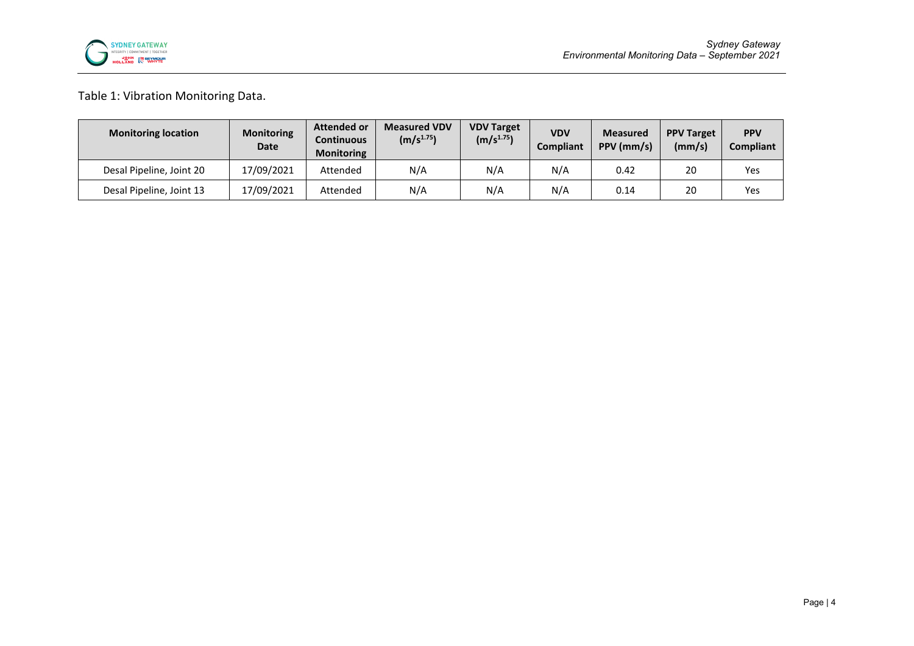

## Table 1: Vibration Monitoring Data.

| <b>Monitoring location</b> | <b>Monitoring</b><br>Date | <b>Attended or</b><br><b>Continuous</b><br><b>Monitoring</b> | <b>Measured VDV</b><br>(m/s <sup>1.75</sup> ) | <b>VDV Target</b><br>$(m/s^{1.75})$ | <b>VDV</b><br><b>Compliant</b> | <b>Measured</b><br>PPV (mm/s) | <b>PPV Target</b><br>(mm/s) | <b>PPV</b><br><b>Compliant</b> |
|----------------------------|---------------------------|--------------------------------------------------------------|-----------------------------------------------|-------------------------------------|--------------------------------|-------------------------------|-----------------------------|--------------------------------|
| Desal Pipeline, Joint 20   | 17/09/2021                | Attended                                                     | N/A                                           | N/A                                 | N/A                            | 0.42                          | 20                          | Yes                            |
| Desal Pipeline, Joint 13   | 17/09/2021                | Attended                                                     | N/A                                           | N/A                                 | N/A                            | 0.14                          | 20                          | Yes                            |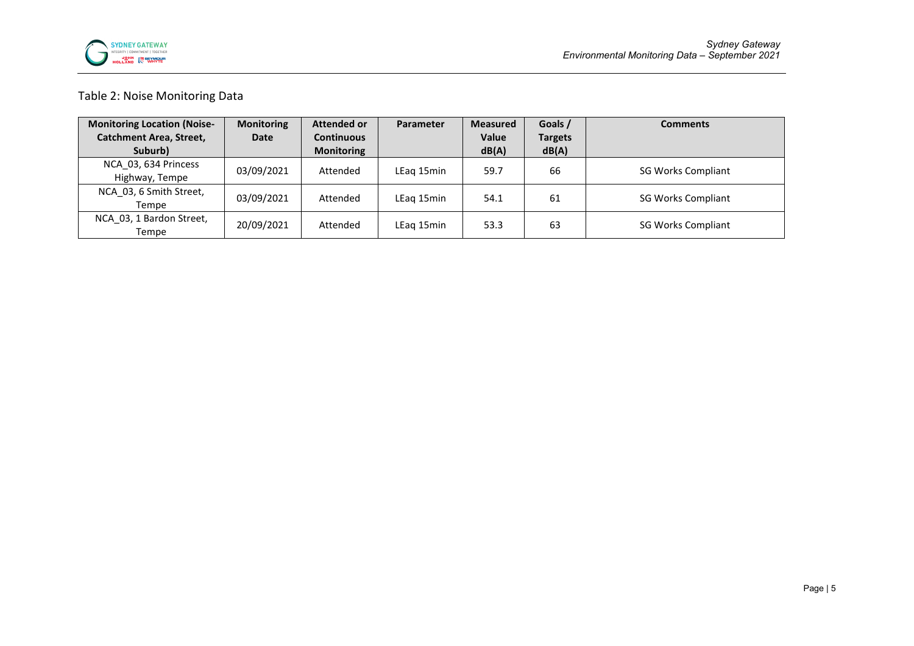

### Table 2: Noise Monitoring Data

| <b>Monitoring Location (Noise-</b>     | <b>Monitoring</b> | <b>Attended or</b> | Parameter  | <b>Measured</b> | Goals /        | <b>Comments</b>           |
|----------------------------------------|-------------------|--------------------|------------|-----------------|----------------|---------------------------|
| <b>Catchment Area, Street,</b>         | Date              | <b>Continuous</b>  |            | <b>Value</b>    | <b>Targets</b> |                           |
| Suburb)                                |                   | <b>Monitoring</b>  |            | dB(A)           | dB(A)          |                           |
| NCA 03, 634 Princess<br>Highway, Tempe | 03/09/2021        | Attended           | LEag 15min | 59.7            | 66             | <b>SG Works Compliant</b> |
| NCA 03, 6 Smith Street,<br>Tempe       | 03/09/2021        | Attended           | LEag 15min | 54.1            | 61             | <b>SG Works Compliant</b> |
| NCA 03, 1 Bardon Street,<br>Tempe      | 20/09/2021        | Attended           | LEag 15min | 53.3            | 63             | <b>SG Works Compliant</b> |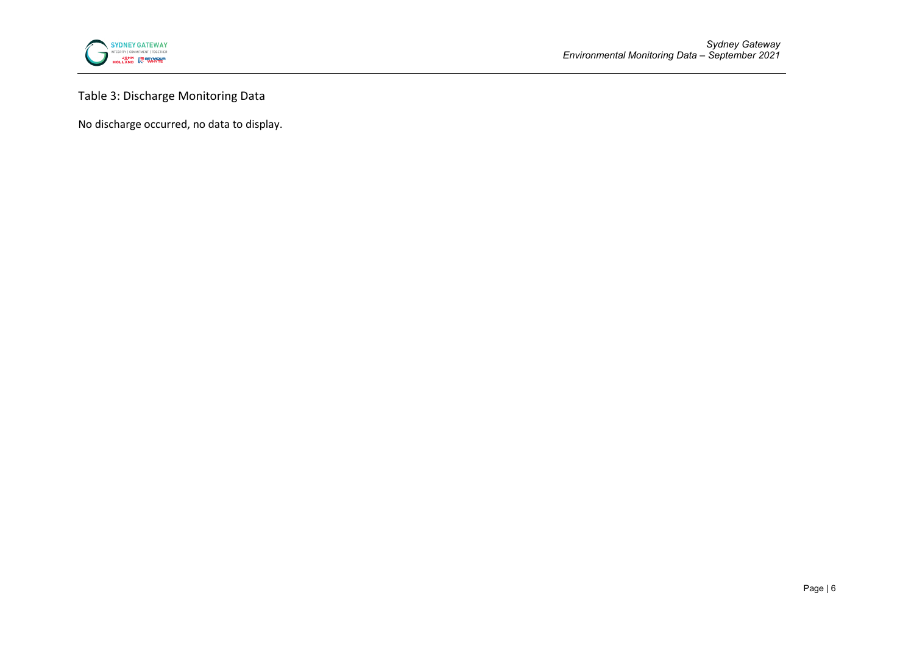

Table 3: Discharge Monitoring Data

No discharge occurred, no data to display.